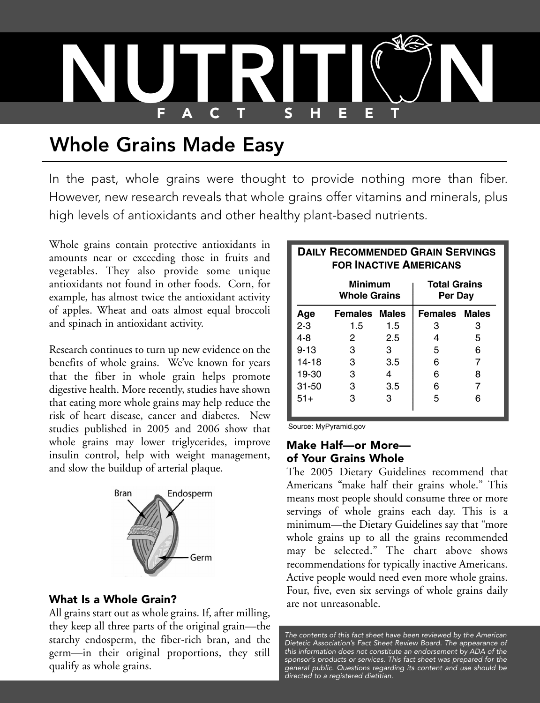

# Whole Grains Made Easy

In the past, whole grains were thought to provide nothing more than fiber. However, new research reveals that whole grains offer vitamins and minerals, plus high levels of antioxidants and other healthy plant-based nutrients.

Whole grains contain protective antioxidants in amounts near or exceeding those in fruits and vegetables. They also provide some unique antioxidants not found in other foods. Corn, for example, has almost twice the antioxidant activity of apples. Wheat and oats almost equal broccoli and spinach in antioxidant activity.

Research continues to turn up new evidence on the benefits of whole grains. We've known for years that the fiber in whole grain helps promote digestive health. More recently, studies have shown that eating more whole grains may help reduce the risk of heart disease, cancer and diabetes. New studies published in 2005 and 2006 show that whole grains may lower triglycerides, improve insulin control, help with weight management, and slow the buildup of arterial plaque.



#### **What Is a Whole Grain?**

All grains start out as whole grains. If, after milling, they keep all three parts of the original grain—the starchy endosperm, the fiber-rich bran, and the germ—in their original proportions, they still qualify as whole grains.

#### **DAILY RECOMMENDED GRAIN SERVINGS FOR INACTIVE AMERICANS**

|           | Minimum<br><b>Whole Grains</b> |     | <b>Total Grains</b><br>Per Day |   |
|-----------|--------------------------------|-----|--------------------------------|---|
| Age       | <b>Females Males</b>           |     | <b>Females Males</b>           |   |
| $2 - 3$   | 1.5                            | 1.5 | З                              | З |
| $4 - 8$   | 2                              | 2.5 | 4                              | 5 |
| $9 - 13$  | 3                              | 3   | 5                              | 6 |
| 14-18     | 3                              | 3.5 | 6                              |   |
| 19-30     | 3                              | 4   | 6                              | 8 |
| $31 - 50$ | З                              | 3.5 | 6                              |   |
| $51+$     | З                              | з   | 5                              | 6 |

Source: MyPyramid.gov

#### **Make Half—or More of Your Grains Whole**

The 2005 Dietary Guidelines recommend that Americans "make half their grains whole." This means most people should consume three or more servings of whole grains each day. This is a minimum—the Dietary Guidelines say that "more whole grains up to all the grains recommended may be selected." The chart above shows recommendations for typically inactive Americans. Active people would need even more whole grains. Four, five, even six servings of whole grains daily are not unreasonable.

*The contents of this fact sheet have been reviewed by the American Dietetic Association's Fact Sheet Review Board. The appearance of this information does not constitute an endorsement by ADA of the sponsor's products or services. This fact sheet was prepared for the general public. Questions regarding its content and use should be directed to a registered dietitian.*